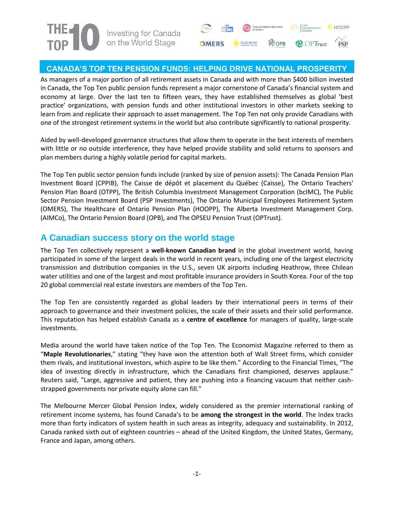



### **CANADA'S TOP TEN PENSION FUNDS: HELPING DRIVE NATIONAL PROSPERITY**

As managers of a major portion of all retirement assets in Canada and with more than \$400 billion invested in Canada, the Top Ten public pension funds represent a major cornerstone of Canada's financial system and economy at large. Over the last ten to fifteen years, they have established themselves as global 'best practice' organizations, with pension funds and other institutional investors in other markets seeking to learn from and replicate their approach to asset management. The Top Ten not only provide Canadians with one of the strongest retirement systems in the world but also contribute significantly to national prosperity.

Aided by well-developed governance structures that allow them to operate in the best interests of members with little or no outside interference, they have helped provide stability and solid returns to sponsors and plan members during a highly volatile period for capital markets.

The Top Ten public sector pension funds include (ranked by size of pension assets): The Canada Pension Plan Investment Board (CPPIB), The Caisse de dépôt et placement du Québec (Caisse), The Ontario Teachers' Pension Plan Board (OTPP), The British Columbia Investment Management Corporation (bcIMC), The Public Sector Pension Investment Board (PSP Investments), The Ontario Municipal Employees Retirement System (OMERS), The Healthcare of Ontario Pension Plan (HOOPP), The Alberta Investment Management Corp. (AIMCo), The Ontario Pension Board (OPB), and The OPSEU Pension Trust (OPTrust).

## **A Canadian success story on the world stage**

The Top Ten collectively represent a **well-known Canadian brand** in the global investment world, having participated in some of the largest deals in the world in recent years, including one of the largest electricity transmission and distribution companies in the U.S., seven UK airports including Heathrow, three Chilean water utilities and one of the largest and most profitable insurance providers in South Korea. Four of the top 20 global commercial real estate investors are members of the Top Ten.

The Top Ten are consistently regarded as global leaders by their international peers in terms of their approach to governance and their investment policies, the scale of their assets and their solid performance. This reputation has helped establish Canada as a **centre of excellence** for managers of quality, large-scale investments.

Media around the world have taken notice of the Top Ten. The Economist Magazine referred to them as "**Maple Revolutionaries**," stating "they have won the attention both of Wall Street firms, which consider them rivals, and institutional investors, which aspire to be like them." According to the Financial Times, "The idea of investing directly in infrastructure, which the Canadians first championed, deserves applause." Reuters said, "Large, aggressive and patient, they are pushing into a financing vacuum that neither cashstrapped governments nor private equity alone can fill."

The Melbourne Mercer Global Pension Index, widely considered as the premier international ranking of retirement income systems, has found Canada's to be **among the strongest in the world**. The Index tracks more than forty indicators of system health in such areas as integrity, adequacy and sustainability. In 2012, Canada ranked sixth out of eighteen countries – ahead of the United Kingdom, the United States, Germany, France and Japan, among others.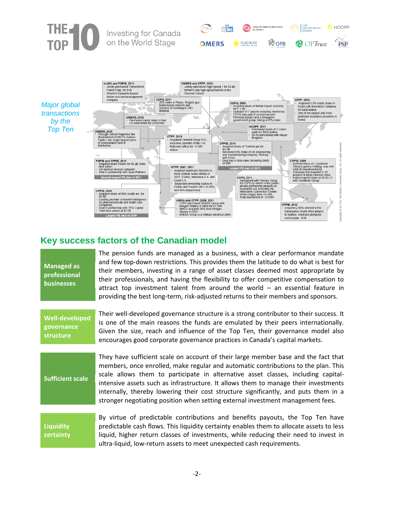

## **Key success factors of the Canadian model**

| <b>Managed as</b><br>professional<br><b>businesses</b> | The pension funds are managed as a business, with a clear performance mandate<br>and few top-down restrictions. This provides them the latitude to do what is best for<br>their members, investing in a range of asset classes deemed most appropriate by<br>their professionals, and having the flexibility to offer competitive compensation to<br>attract top investment talent from around the world $-$ an essential feature in<br>providing the best long-term, risk-adjusted returns to their members and sponsors.     |
|--------------------------------------------------------|--------------------------------------------------------------------------------------------------------------------------------------------------------------------------------------------------------------------------------------------------------------------------------------------------------------------------------------------------------------------------------------------------------------------------------------------------------------------------------------------------------------------------------|
| <b>Well-developed</b><br>governance<br>structure       | Their well-developed governance structure is a strong contributor to their success. It<br>is one of the main reasons the funds are emulated by their peers internationally.<br>Given the size, reach and influence of the Top Ten, their governance model also<br>encourages good corporate governance practices in Canada's capital markets.                                                                                                                                                                                  |
| <b>Sufficient scale</b>                                | They have sufficient scale on account of their large member base and the fact that<br>members, once enrolled, make regular and automatic contributions to the plan. This<br>scale allows them to participate in alternative asset classes, including capital-<br>intensive assets such as infrastructure. It allows them to manage their investments<br>internally, thereby lowering their cost structure significantly, and puts them in a<br>stronger negotiating position when setting external investment management fees. |
| <b>Liquidity</b><br>certainty                          | By virtue of predictable contributions and benefits payouts, the Top Ten have<br>predictable cash flows. This liquidity certainty enables them to allocate assets to less<br>liquid, higher return classes of investments, while reducing their need to invest in<br>ultra-liquid, low-return assets to meet unexpected cash requirements.                                                                                                                                                                                     |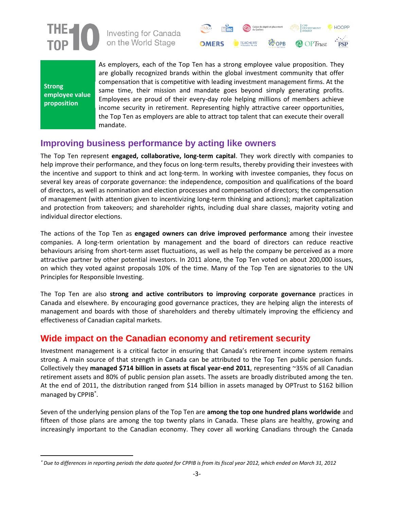

Investing for Canada on the World Stage



**Strong employee value proposition**

 $\overline{\phantom{a}}$ 

As employers, each of the Top Ten has a strong employee value proposition. They are globally recognized brands within the global investment community that offer compensation that is competitive with leading investment management firms. At the same time, their mission and mandate goes beyond simply generating profits. Employees are proud of their every-day role helping millions of members achieve income security in retirement. Representing highly attractive career opportunities, the Top Ten as employers are able to attract top talent that can execute their overall mandate.

## **Improving business performance by acting like owners**

The Top Ten represent **engaged, collaborative, long-term capital**. They work directly with companies to help improve their performance, and they focus on long-term results, thereby providing their investees with the incentive and support to think and act long-term. In working with investee companies, they focus on several key areas of corporate governance: the independence, composition and qualifications of the board of directors, as well as nomination and election processes and compensation of directors; the compensation of management (with attention given to incentivizing long-term thinking and actions); market capitalization and protection from takeovers; and shareholder rights, including dual share classes, majority voting and individual director elections.

The actions of the Top Ten as **engaged owners can drive improved performance** among their investee companies. A long-term orientation by management and the board of directors can reduce reactive behaviours arising from short-term asset fluctuations, as well as help the company be perceived as a more attractive partner by other potential investors. In 2011 alone, the Top Ten voted on about 200,000 issues, on which they voted against proposals 10% of the time. Many of the Top Ten are signatories to the UN Principles for Responsible Investing.

The Top Ten are also **strong and active contributors to improving corporate governance** practices in Canada and elsewhere. By encouraging good governance practices, they are helping align the interests of management and boards with those of shareholders and thereby ultimately improving the efficiency and effectiveness of Canadian capital markets.

## **Wide impact on the Canadian economy and retirement security**

Investment management is a critical factor in ensuring that Canada's retirement income system remains strong. A main source of that strength in Canada can be attributed to the Top Ten public pension funds. Collectively they **managed \$714 billion in assets at fiscal year-end 2011**, representing ~35% of all Canadian retirement assets and 80% of public pension plan assets. The assets are broadly distributed among the ten. At the end of 2011, the distribution ranged from \$14 billion in assets managed by OPTrust to \$162 billion managed by CPPIB .

Seven of the underlying pension plans of the Top Ten are **among the top one hundred plans worldwide** and fifteen of those plans are among the top twenty plans in Canada. These plans are healthy, growing and increasingly important to the Canadian economy. They cover all working Canadians through the Canada

*Due to differences in reporting periods the data quoted for CPPIB is from its fiscal year 2012, which ended on March 31, 2012*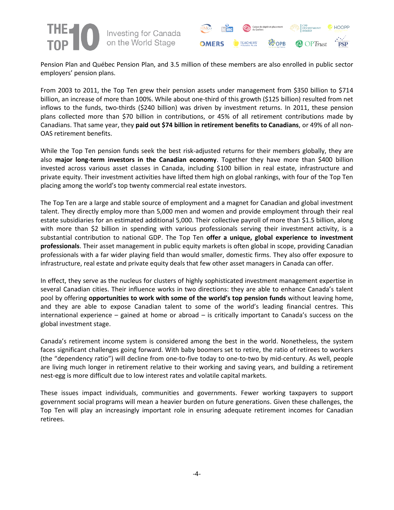



Pension Plan and Québec Pension Plan, and 3.5 million of these members are also enrolled in public sector employers' pension plans.

From 2003 to 2011, the Top Ten grew their pension assets under management from \$350 billion to \$714 billion, an increase of more than 100%. While about one-third of this growth (\$125 billion) resulted from net inflows to the funds, two-thirds (\$240 billion) was driven by investment returns. In 2011, these pension plans collected more than \$70 billion in contributions, or 45% of all retirement contributions made by Canadians. That same year, they **paid out \$74 billion in retirement benefits to Canadians**, or 49% of all non-OAS retirement benefits.

While the Top Ten pension funds seek the best risk-adjusted returns for their members globally, they are also **major long-term investors in the Canadian economy**. Together they have more than \$400 billion invested across various asset classes in Canada, including \$100 billion in real estate, infrastructure and private equity. Their investment activities have lifted them high on global rankings, with four of the Top Ten placing among the world's top twenty commercial real estate investors.

The Top Ten are a large and stable source of employment and a magnet for Canadian and global investment talent. They directly employ more than 5,000 men and women and provide employment through their real estate subsidiaries for an estimated additional 5,000. Their collective payroll of more than \$1.5 billion, along with more than \$2 billion in spending with various professionals serving their investment activity, is a substantial contribution to national GDP. The Top Ten **offer a unique, global experience to investment professionals**. Their asset management in public equity markets is often global in scope, providing Canadian professionals with a far wider playing field than would smaller, domestic firms. They also offer exposure to infrastructure, real estate and private equity deals that few other asset managers in Canada can offer.

In effect, they serve as the nucleus for clusters of highly sophisticated investment management expertise in several Canadian cities. Their influence works in two directions: they are able to enhance Canada's talent pool by offering **opportunities to work with some of the world's top pension funds** without leaving home, and they are able to expose Canadian talent to some of the world's leading financial centres. This international experience – gained at home or abroad – is critically important to Canada's success on the global investment stage.

Canada's retirement income system is considered among the best in the world. Nonetheless, the system faces significant challenges going forward. With baby boomers set to retire, the ratio of retirees to workers (the "dependency ratio") will decline from one-to-five today to one-to-two by mid-century. As well, people are living much longer in retirement relative to their working and saving years, and building a retirement nest-egg is more difficult due to low interest rates and volatile capital markets.

These issues impact individuals, communities and governments. Fewer working taxpayers to support government social programs will mean a heavier burden on future generations. Given these challenges, the Top Ten will play an increasingly important role in ensuring adequate retirement incomes for Canadian retirees.